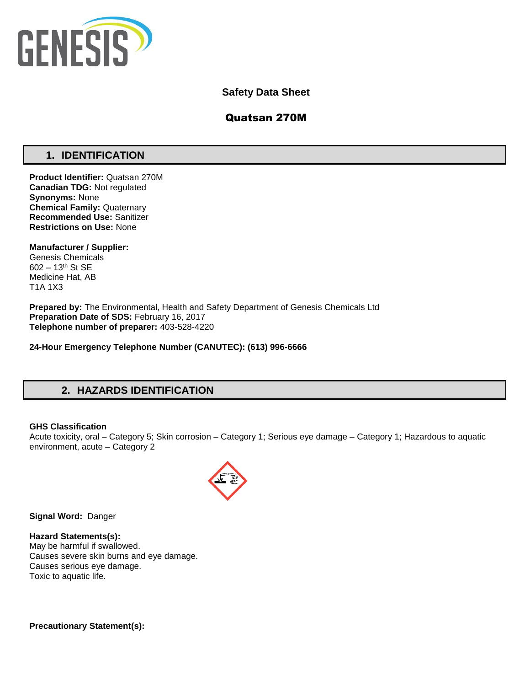

## **Safety Data Sheet**

## Quatsan 270M

## **1. IDENTIFICATION**

**Product Identifier:** Quatsan 270M **Canadian TDG:** Not regulated **Synonyms:** None **Chemical Family:** Quaternary **Recommended Use:** Sanitizer **Restrictions on Use:** None

**Manufacturer / Supplier:** Genesis Chemicals 602 – 13th St SE Medicine Hat, AB T1A 1X3

**Prepared by:** The Environmental, Health and Safety Department of Genesis Chemicals Ltd **Preparation Date of SDS:** February 16, 2017 **Telephone number of preparer:** 403-528-4220

**24-Hour Emergency Telephone Number (CANUTEC): (613) 996-6666**

# **2. HAZARDS IDENTIFICATION**

### **GHS Classification**

Acute toxicity, oral – Category 5; Skin corrosion – Category 1; Serious eye damage – Category 1; Hazardous to aquatic environment, acute – Category 2



**Signal Word:** Danger

**Hazard Statements(s):** May be harmful if swallowed. Causes severe skin burns and eye damage. Causes serious eye damage. Toxic to aquatic life.

**Precautionary Statement(s):**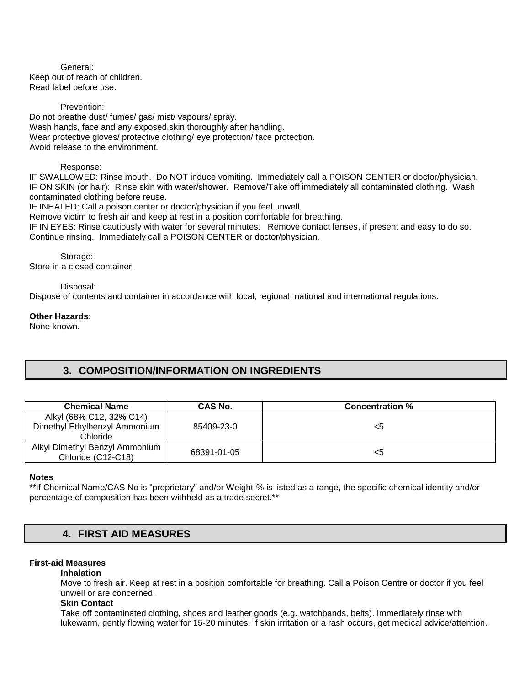General: Keep out of reach of children. Read label before use.

Prevention: Do not breathe dust/ fumes/ gas/ mist/ vapours/ spray. Wash hands, face and any exposed skin thoroughly after handling. Wear protective gloves/ protective clothing/ eye protection/ face protection. Avoid release to the environment.

### Response:

IF SWALLOWED: Rinse mouth. Do NOT induce vomiting. Immediately call a POISON CENTER or doctor/physician. IF ON SKIN (or hair): Rinse skin with water/shower. Remove/Take off immediately all contaminated clothing. Wash contaminated clothing before reuse.

IF INHALED: Call a poison center or doctor/physician if you feel unwell.

Remove victim to fresh air and keep at rest in a position comfortable for breathing.

IF IN EYES: Rinse cautiously with water for several minutes. Remove contact lenses, if present and easy to do so. Continue rinsing. Immediately call a POISON CENTER or doctor/physician.

Storage: Store in a closed container.

### Disposal:

Dispose of contents and container in accordance with local, regional, national and international regulations.

#### **Other Hazards:**

None known.

## **3. COMPOSITION/INFORMATION ON INGREDIENTS**

| <b>Chemical Name</b>                                                  | CAS No.     | <b>Concentration %</b> |
|-----------------------------------------------------------------------|-------------|------------------------|
| Alkyl (68% C12, 32% C14)<br>Dimethyl Ethylbenzyl Ammonium<br>Chloride | 85409-23-0  | <5                     |
| Alkyl Dimethyl Benzyl Ammonium<br>Chloride (C12-C18)                  | 68391-01-05 | <5                     |

## **Notes**

\*\*If Chemical Name/CAS No is "proprietary" and/or Weight-% is listed as a range, the specific chemical identity and/or percentage of composition has been withheld as a trade secret.\*\*

## **4. FIRST AID MEASURES**

### **First-aid Measures**

### **Inhalation**

Move to fresh air. Keep at rest in a position comfortable for breathing. Call a Poison Centre or doctor if you feel unwell or are concerned.

#### **Skin Contact**

Take off contaminated clothing, shoes and leather goods (e.g. watchbands, belts). Immediately rinse with lukewarm, gently flowing water for 15-20 minutes. If skin irritation or a rash occurs, get medical advice/attention.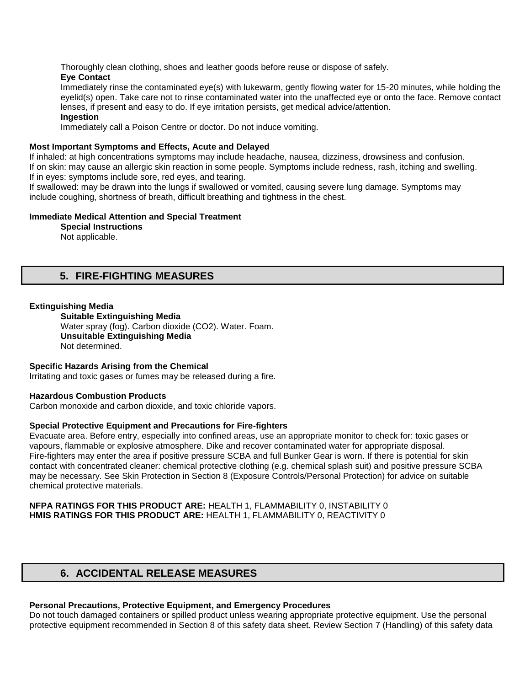Thoroughly clean clothing, shoes and leather goods before reuse or dispose of safely.

## **Eye Contact**

Immediately rinse the contaminated eye(s) with lukewarm, gently flowing water for 15-20 minutes, while holding the eyelid(s) open. Take care not to rinse contaminated water into the unaffected eye or onto the face. Remove contact lenses, if present and easy to do. If eye irritation persists, get medical advice/attention.

## **Ingestion**

Immediately call a Poison Centre or doctor. Do not induce vomiting.

## **Most Important Symptoms and Effects, Acute and Delayed**

If inhaled: at high concentrations symptoms may include headache, nausea, dizziness, drowsiness and confusion. If on skin: may cause an allergic skin reaction in some people. Symptoms include redness, rash, itching and swelling. If in eyes: symptoms include sore, red eyes, and tearing.

If swallowed: may be drawn into the lungs if swallowed or vomited, causing severe lung damage. Symptoms may include coughing, shortness of breath, difficult breathing and tightness in the chest.

## **Immediate Medical Attention and Special Treatment**

**Special Instructions**  Not applicable.

## **5. FIRE-FIGHTING MEASURES**

## **Extinguishing Media**

**Suitable Extinguishing Media** Water spray (fog). Carbon dioxide (CO2). Water. Foam. **Unsuitable Extinguishing Media**  Not determined.

### **Specific Hazards Arising from the Chemical**

Irritating and toxic gases or fumes may be released during a fire.

### **Hazardous Combustion Products**

Carbon monoxide and carbon dioxide, and toxic chloride vapors.

### **Special Protective Equipment and Precautions for Fire-fighters**

Evacuate area. Before entry, especially into confined areas, use an appropriate monitor to check for: toxic gases or vapours, flammable or explosive atmosphere. Dike and recover contaminated water for appropriate disposal. Fire-fighters may enter the area if positive pressure SCBA and full Bunker Gear is worn. If there is potential for skin contact with concentrated cleaner: chemical protective clothing (e.g. chemical splash suit) and positive pressure SCBA may be necessary. See Skin Protection in Section 8 (Exposure Controls/Personal Protection) for advice on suitable chemical protective materials.

### **NFPA RATINGS FOR THIS PRODUCT ARE:** HEALTH 1, FLAMMABILITY 0, INSTABILITY 0 **HMIS RATINGS FOR THIS PRODUCT ARE:** HEALTH 1, FLAMMABILITY 0, REACTIVITY 0

## **6. ACCIDENTAL RELEASE MEASURES**

## **Personal Precautions, Protective Equipment, and Emergency Procedures**

Do not touch damaged containers or spilled product unless wearing appropriate protective equipment. Use the personal protective equipment recommended in Section 8 of this safety data sheet. Review Section 7 (Handling) of this safety data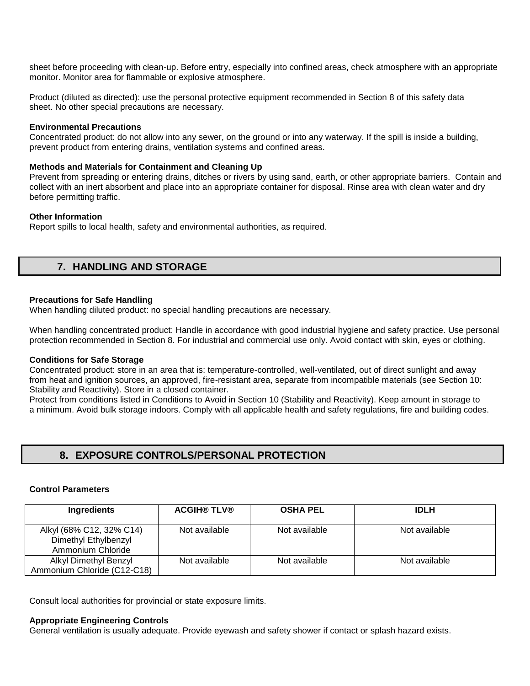sheet before proceeding with clean-up. Before entry, especially into confined areas, check atmosphere with an appropriate monitor. Monitor area for flammable or explosive atmosphere.

Product (diluted as directed): use the personal protective equipment recommended in Section 8 of this safety data sheet. No other special precautions are necessary.

### **Environmental Precautions**

Concentrated product: do not allow into any sewer, on the ground or into any waterway. If the spill is inside a building, prevent product from entering drains, ventilation systems and confined areas.

#### **Methods and Materials for Containment and Cleaning Up**

Prevent from spreading or entering drains, ditches or rivers by using sand, earth, or other appropriate barriers. Contain and collect with an inert absorbent and place into an appropriate container for disposal. Rinse area with clean water and dry before permitting traffic.

#### **Other Information**

Report spills to local health, safety and environmental authorities, as required.

## **7. HANDLING AND STORAGE**

### **Precautions for Safe Handling**

When handling diluted product: no special handling precautions are necessary.

When handling concentrated product: Handle in accordance with good industrial hygiene and safety practice. Use personal protection recommended in Section 8. For industrial and commercial use only. Avoid contact with skin, eyes or clothing.

### **Conditions for Safe Storage**

Concentrated product: store in an area that is: temperature-controlled, well-ventilated, out of direct sunlight and away from heat and ignition sources, an approved, fire-resistant area, separate from incompatible materials (see Section 10: Stability and Reactivity). Store in a closed container.

Protect from conditions listed in Conditions to Avoid in Section 10 (Stability and Reactivity). Keep amount in storage to a minimum. Avoid bulk storage indoors. Comply with all applicable health and safety regulations, fire and building codes.

## **8. EXPOSURE CONTROLS/PERSONAL PROTECTION**

#### **Control Parameters**

| Ingredients                                                           | <b>ACGIH® TLV®</b> | <b>OSHA PEL</b> | <b>IDLH</b>   |
|-----------------------------------------------------------------------|--------------------|-----------------|---------------|
| Alkyl (68% C12, 32% C14)<br>Dimethyl Ethylbenzyl<br>Ammonium Chloride | Not available      | Not available   | Not available |
| Alkyl Dimethyl Benzyl<br>Ammonium Chloride (C12-C18)                  | Not available      | Not available   | Not available |

Consult local authorities for provincial or state exposure limits.

#### **Appropriate Engineering Controls**

General ventilation is usually adequate. Provide eyewash and safety shower if contact or splash hazard exists.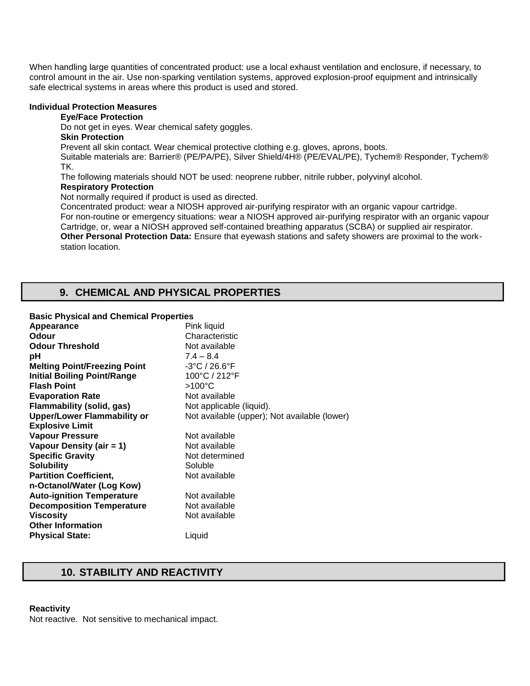When handling large quantities of concentrated product: use a local exhaust ventilation and enclosure, if necessary, to control amount in the air. Use non-sparking ventilation systems, approved explosion-proof equipment and intrinsically safe electrical systems in areas where this product is used and stored.

#### **Individual Protection Measures**

### **Eye/Face Protection**

Do not get in eyes. Wear chemical safety goggles.

### **Skin Protection**

Prevent all skin contact. Wear chemical protective clothing e.g. gloves, aprons, boots.

Suitable materials are: Barrier® (PE/PA/PE), Silver Shield/4H® (PE/EVAL/PE), Tychem® Responder, Tychem® TK.

The following materials should NOT be used: neoprene rubber, nitrile rubber, polyvinyl alcohol. **Respiratory Protection** 

## Not normally required if product is used as directed.

Concentrated product: wear a NIOSH approved air-purifying respirator with an organic vapour cartridge. For non-routine or emergency situations: wear a NIOSH approved air-purifying respirator with an organic vapour Cartridge, or, wear a NIOSH approved self-contained breathing apparatus (SCBA) or supplied air respirator. **Other Personal Protection Data:** Ensure that eyewash stations and safety showers are proximal to the workstation location.

## **9. CHEMICAL AND PHYSICAL PROPERTIES**

### **Basic Physical and Chemical Properties**

| Appearance                          | Pink liquid                                  |
|-------------------------------------|----------------------------------------------|
| Odour                               | Characteristic                               |
| <b>Odour Threshold</b>              | Not available                                |
| рH                                  | $7.4 - 8.4$                                  |
| <b>Melting Point/Freezing Point</b> | $-3^{\circ}$ C / 26.6 $^{\circ}$ F           |
| <b>Initial Boiling Point/Range</b>  | 100°C / 212°F                                |
| <b>Flash Point</b>                  | $>100^{\circ}$ C                             |
| <b>Evaporation Rate</b>             | Not available                                |
| <b>Flammability (solid, gas)</b>    | Not applicable (liquid).                     |
| <b>Upper/Lower Flammability or</b>  | Not available (upper); Not available (lower) |
| <b>Explosive Limit</b>              |                                              |
| <b>Vapour Pressure</b>              | Not available                                |
| Vapour Density (air = 1)            | Not available                                |
| <b>Specific Gravity</b>             | Not determined                               |
| <b>Solubility</b>                   | Soluble                                      |
| <b>Partition Coefficient,</b>       | Not available                                |
| n-Octanol/Water (Log Kow)           |                                              |
| <b>Auto-ignition Temperature</b>    | Not available                                |
| <b>Decomposition Temperature</b>    | Not available                                |
| Viscosity                           | Not available                                |
| <b>Other Information</b>            |                                              |
| <b>Physical State:</b>              | Liquid                                       |
|                                     |                                              |

## **10. STABILITY AND REACTIVITY**

## **Reactivity**

Not reactive. Not sensitive to mechanical impact.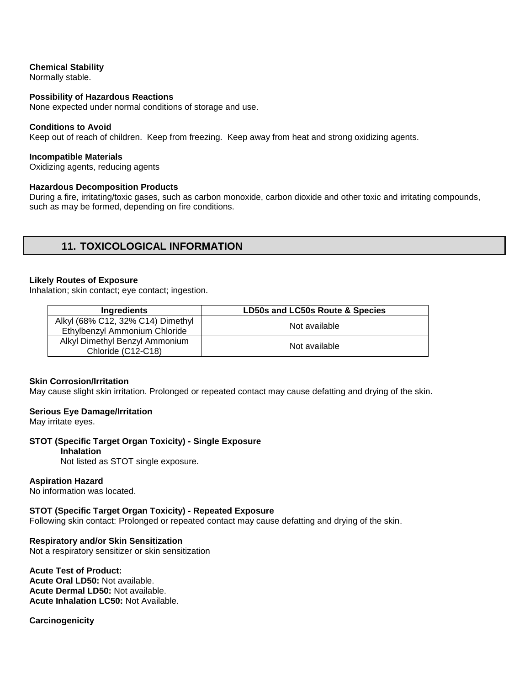## **Chemical Stability**

Normally stable.

### **Possibility of Hazardous Reactions**

None expected under normal conditions of storage and use.

#### **Conditions to Avoid**

Keep out of reach of children. Keep from freezing. Keep away from heat and strong oxidizing agents.

#### **Incompatible Materials**

Oxidizing agents, reducing agents

#### **Hazardous Decomposition Products**

During a fire, irritating/toxic gases, such as carbon monoxide, carbon dioxide and other toxic and irritating compounds, such as may be formed, depending on fire conditions.

## **11. TOXICOLOGICAL INFORMATION**

#### **Likely Routes of Exposure**

Inhalation; skin contact; eye contact; ingestion.

| Ingredients                                                        | LD50s and LC50s Route & Species |
|--------------------------------------------------------------------|---------------------------------|
| Alkyl (68% C12, 32% C14) Dimethyl<br>Ethylbenzyl Ammonium Chloride | Not available                   |
| Alkyl Dimethyl Benzyl Ammonium<br>Chloride (C12-C18)               | Not available                   |

#### **Skin Corrosion/Irritation**

May cause slight skin irritation. Prolonged or repeated contact may cause defatting and drying of the skin.

#### **Serious Eye Damage/Irritation**

May irritate eyes.

## **STOT (Specific Target Organ Toxicity) - Single Exposure**

## **Inhalation**

Not listed as STOT single exposure.

## **Aspiration Hazard**

No information was located.

#### **STOT (Specific Target Organ Toxicity) - Repeated Exposure**

Following skin contact: Prolonged or repeated contact may cause defatting and drying of the skin.

### **Respiratory and/or Skin Sensitization**

Not a respiratory sensitizer or skin sensitization

### **Acute Test of Product:**

**Acute Oral LD50:** Not available. **Acute Dermal LD50:** Not available. **Acute Inhalation LC50:** Not Available.

**Carcinogenicity**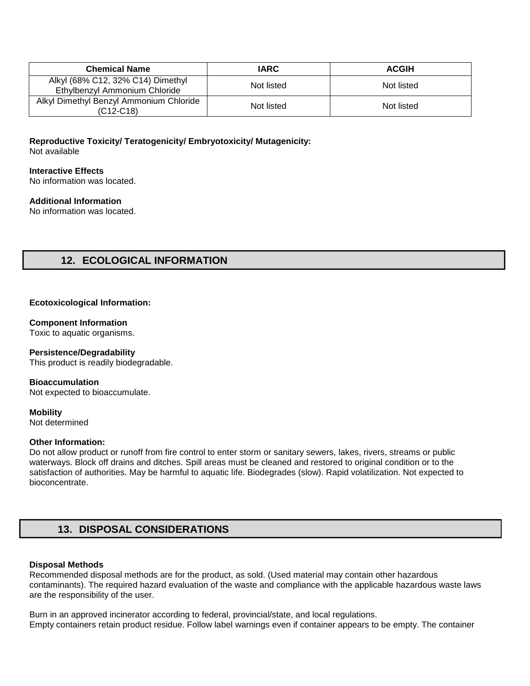| <b>Chemical Name</b>                                               | <b>IARC</b> | <b>ACGIH</b> |
|--------------------------------------------------------------------|-------------|--------------|
| Alkyl (68% C12, 32% C14) Dimethyl<br>Ethylbenzyl Ammonium Chloride | Not listed  | Not listed   |
| Alkyl Dimethyl Benzyl Ammonium Chloride<br>$(C12-C18)$             | Not listed  | Not listed   |

**Reproductive Toxicity/ Teratogenicity/ Embryotoxicity/ Mutagenicity:** Not available

## **Interactive Effects**

No information was located.

## **Additional Information**

No information was located.

## **12. ECOLOGICAL INFORMATION**

### **Ecotoxicological Information:**

### **Component Information**

Toxic to aquatic organisms.

### **Persistence/Degradability**

This product is readily biodegradable.

**Bioaccumulation**  Not expected to bioaccumulate.

**Mobility** 

Not determined

## **Other Information:**

Do not allow product or runoff from fire control to enter storm or sanitary sewers, lakes, rivers, streams or public waterways. Block off drains and ditches. Spill areas must be cleaned and restored to original condition or to the satisfaction of authorities. May be harmful to aquatic life. Biodegrades (slow). Rapid volatilization. Not expected to bioconcentrate.

## **13. DISPOSAL CONSIDERATIONS**

### **Disposal Methods**

Recommended disposal methods are for the product, as sold. (Used material may contain other hazardous contaminants). The required hazard evaluation of the waste and compliance with the applicable hazardous waste laws are the responsibility of the user.

Burn in an approved incinerator according to federal, provincial/state, and local regulations. Empty containers retain product residue. Follow label warnings even if container appears to be empty. The container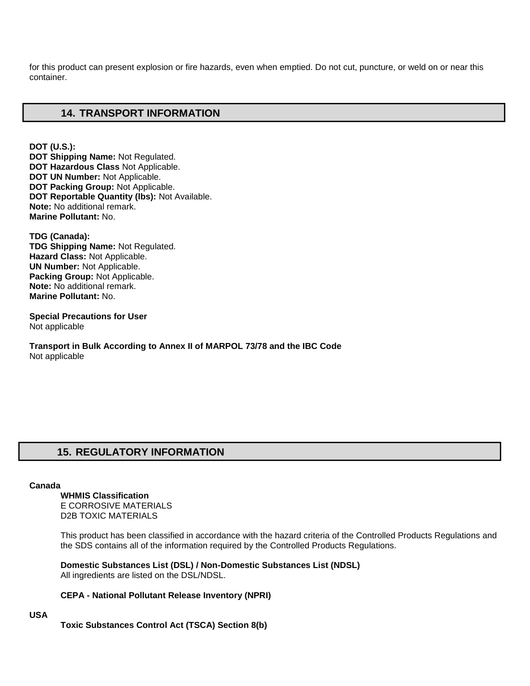for this product can present explosion or fire hazards, even when emptied. Do not cut, puncture, or weld on or near this container.

## **14. TRANSPORT INFORMATION**

**DOT (U.S.): DOT Shipping Name:** Not Regulated. **DOT Hazardous Class** Not Applicable. **DOT UN Number:** Not Applicable. **DOT Packing Group:** Not Applicable. **DOT Reportable Quantity (lbs):** Not Available. **Note:** No additional remark. **Marine Pollutant:** No.

**TDG (Canada): TDG Shipping Name:** Not Regulated. **Hazard Class:** Not Applicable. **UN Number:** Not Applicable. **Packing Group:** Not Applicable. **Note:** No additional remark. **Marine Pollutant:** No.

**Special Precautions for User** Not applicable

**Transport in Bulk According to Annex II of MARPOL 73/78 and the IBC Code**  Not applicable

# **15. REGULATORY INFORMATION**

### **Canada**

**WHMIS Classification**  E CORROSIVE MATERIALS D2B TOXIC MATERIALS

This product has been classified in accordance with the hazard criteria of the Controlled Products Regulations and the SDS contains all of the information required by the Controlled Products Regulations.

**Domestic Substances List (DSL) / Non-Domestic Substances List (NDSL)**  All ingredients are listed on the DSL/NDSL.

### **CEPA - National Pollutant Release Inventory (NPRI)**

**USA**

**Toxic Substances Control Act (TSCA) Section 8(b)**